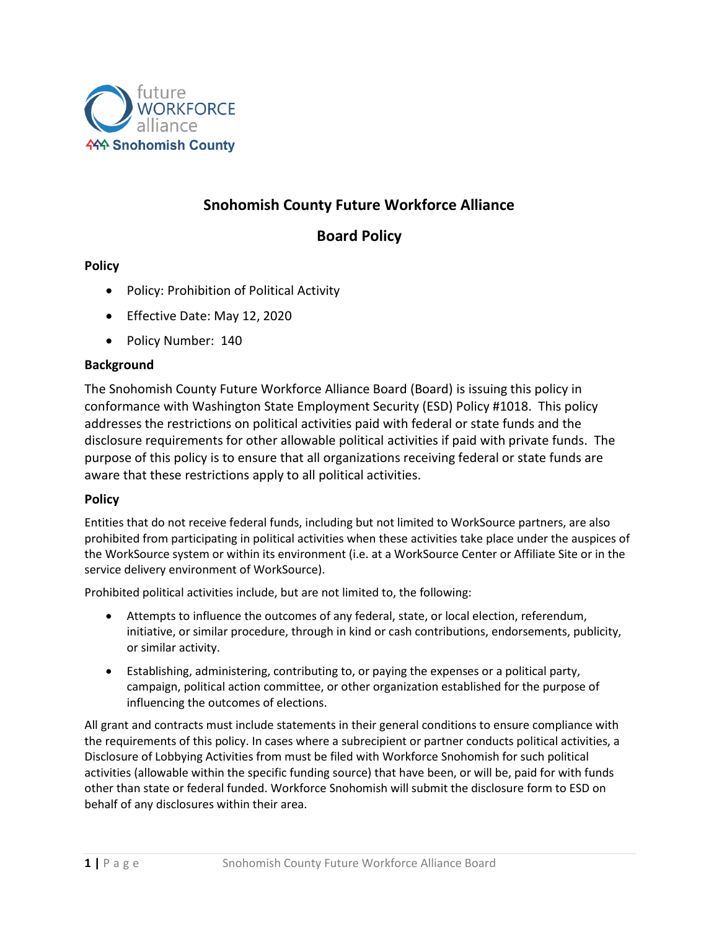

# **Snohomish County Future Workforce Alliance**

# **Board Policy**

# **Policy**

- Policy: Prohibition of Political Activity
- Effective Date: May 12, 2020
- Policy Number: 140

## **Background**

The Snohomish County Future Workforce Alliance Board (Board) is issuing this policy in conformance with Washington State Employment Security (ESD) Policy #1018. This policy addresses the restrictions on political activities paid with federal or state funds and the disclosure requirements for other allowable political activities if paid with private funds. The purpose of this policy is to ensure that all organizations receiving federal or state funds are aware that these restrictions apply to all political activities.

# **Policy**

Entities that do not receive federal funds, including but not limited to WorkSource partners, are also prohibited from participating in political activities when these activities take place under the auspices of the WorkSource system or within its environment (i.e. at a WorkSource Center or Affiliate Site or in the service delivery environment of WorkSource).

Prohibited political activities include, but are not limited to, the following:

- Attempts to influence the outcomes of any federal, state, or local election, referendum, initiative, or similar procedure, through in kind or cash contributions, endorsements, publicity, or similar activity.
- Establishing, administering, contributing to, or paying the expenses or a political party, campaign, political action committee, or other organization established for the purpose of influencing the outcomes of elections.

All grant and contracts must include statements in their general conditions to ensure compliance with the requirements of this policy. In cases where a subrecipient or partner conducts political activities, a Disclosure of Lobbying Activities from must be filed with Workforce Snohomish for such political activities (allowable within the specific funding source) that have been, or will be, paid for with funds other than state or federal funded. Workforce Snohomish will submit the disclosure form to ESD on behalf of any disclosures within their area.